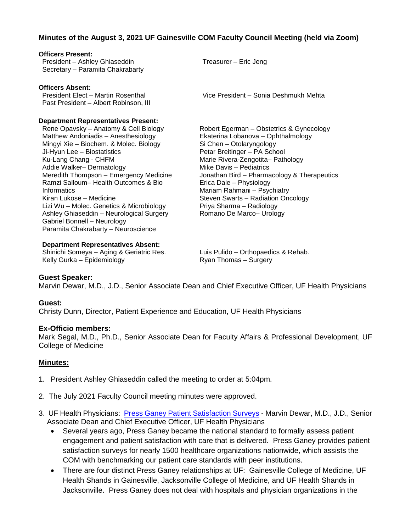## **Minutes of the August 3, 2021 UF Gainesville COM Faculty Council Meeting (held via Zoom)**

#### **Officers Present:** President – Ashley Ghiaseddin Secretary – Paramita Chakrabarty Treasurer – Eric Jeng **Officers Absent:** President Elect – Martin Rosenthal Past President – Albert Robinson, III **Department Representatives Present:** Rene Opavsky – Anatomy & Cell Biology Matthew Andoniadis – Anesthesiology Mingyi Xie – Biochem. & Molec. Biology Ji-Hyun Lee – Biostatistics Ku-Lang Chang - CHFM Addie Walker– Dermatology Meredith Thompson – Emergency Medicine Ramzi Salloum– Health Outcomes & Bio **Informatics** Kiran Lukose – Medicine Lizi Wu – Molec. Genetics & Microbiology Ashley Ghiaseddin – Neurological Surgery Gabriel Bonnell – Neurology Paramita Chakrabarty – Neuroscience Robert Egerman – Obstetrics & Gynecology Si Chen – Otolaryngology Petar Breitinger – PA School Marie Rivera-Zengotita– Pathology Mike Davis – Pediatrics Erica Dale – Physiology Mariam Rahmani – Psychiatry Priya Sharma – Radiology Romano De Marco– Urology

#### **Department Representatives Absent:**

Shinichi Someya – Aging & Geriatric Res. Kelly Gurka – Epidemiology

Luis Pulido – Orthopaedics & Rehab. Ryan Thomas – Surgery

### **Guest Speaker:**

Marvin Dewar, M.D., J.D., Senior Associate Dean and Chief Executive Officer, UF Health Physicians

#### **Guest:**

Christy Dunn, Director, Patient Experience and Education, UF Health Physicians

#### **Ex-Officio members:**

Mark Segal, M.D., Ph.D., Senior Associate Dean for Faculty Affairs & Professional Development, UF College of Medicine

#### **Minutes:**

- 1. President Ashley Ghiaseddin called the meeting to order at 5:04pm.
- 2. The July 2021 Faculty Council meeting minutes were approved.
- 3. UF Health Physicians: [Press Ganey Patient Satisfaction Surveys](https://sharepoint.ahc.ufl.edu/epictraining/documentation/Experience%20and%20Education%20Department/PG%20FAQ%20Tipsheet.pdf) Marvin Dewar, M.D., J.D., Senior Associate Dean and Chief Executive Officer, UF Health Physicians
	- Several years ago, Press Ganey became the national standard to formally assess patient engagement and patient satisfaction with care that is delivered. Press Ganey provides patient satisfaction surveys for nearly 1500 healthcare organizations nationwide, which assists the COM with benchmarking our patient care standards with peer institutions.
	- There are four distinct Press Ganey relationships at UF: Gainesville College of Medicine, UF Health Shands in Gainesville, Jacksonville College of Medicine, and UF Health Shands in Jacksonville. Press Ganey does not deal with hospitals and physician organizations in the

Vice President – Sonia Deshmukh Mehta

Ekaterina Lobanova – Ophthalmology Jonathan Bird – Pharmacology & Therapeutics Steven Swarts – Radiation Oncology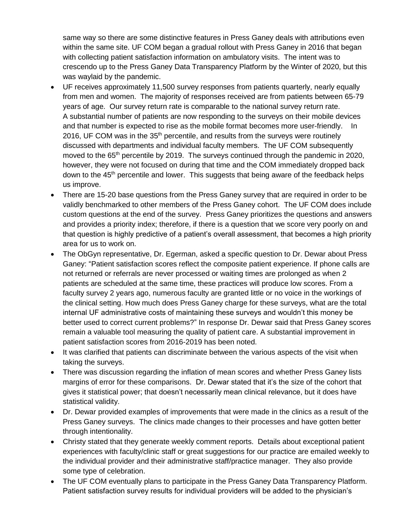same way so there are some distinctive features in Press Ganey deals with attributions even within the same site. UF COM began a gradual rollout with Press Ganey in 2016 that began with collecting patient satisfaction information on ambulatory visits. The intent was to crescendo up to the Press Ganey Data Transparency Platform by the Winter of 2020, but this was waylaid by the pandemic.

- UF receives approximately 11,500 survey responses from patients quarterly, nearly equally from men and women. The majority of responses received are from patients between 65-79 years of age. Our survey return rate is comparable to the national survey return rate. A substantial number of patients are now responding to the surveys on their mobile devices and that number is expected to rise as the mobile format becomes more user-friendly. In 2016, UF COM was in the 35<sup>th</sup> percentile, and results from the surveys were routinely discussed with departments and individual faculty members. The UF COM subsequently moved to the 65<sup>th</sup> percentile by 2019. The surveys continued through the pandemic in 2020, however, they were not focused on during that time and the COM immediately dropped back down to the 45<sup>th</sup> percentile and lower. This suggests that being aware of the feedback helps us improve.
- There are 15-20 base questions from the Press Ganey survey that are required in order to be validly benchmarked to other members of the Press Ganey cohort. The UF COM does include custom questions at the end of the survey. Press Ganey prioritizes the questions and answers and provides a priority index; therefore, if there is a question that we score very poorly on and that question is highly predictive of a patient's overall assessment, that becomes a high priority area for us to work on.
- The ObGyn representative, Dr. Egerman, asked a specific question to Dr. Dewar about Press Ganey: "Patient satisfaction scores reflect the composite patient experience. If phone calls are not returned or referrals are never processed or waiting times are prolonged as when 2 patients are scheduled at the same time, these practices will produce low scores. From a faculty survey 2 years ago, numerous faculty are granted little or no voice in the workings of the clinical setting. How much does Press Ganey charge for these surveys, what are the total internal UF administrative costs of maintaining these surveys and wouldn't this money be better used to correct current problems?" In response Dr. Dewar said that Press Ganey scores remain a valuable tool measuring the quality of patient care. A substantial improvement in patient satisfaction scores from 2016-2019 has been noted.
- It was clarified that patients can discriminate between the various aspects of the visit when taking the surveys.
- There was discussion regarding the inflation of mean scores and whether Press Ganey lists margins of error for these comparisons. Dr. Dewar stated that it's the size of the cohort that gives it statistical power; that doesn't necessarily mean clinical relevance, but it does have statistical validity.
- Dr. Dewar provided examples of improvements that were made in the clinics as a result of the Press Ganey surveys. The clinics made changes to their processes and have gotten better through intentionality.
- Christy stated that they generate weekly comment reports. Details about exceptional patient experiences with faculty/clinic staff or great suggestions for our practice are emailed weekly to the individual provider and their administrative staff/practice manager. They also provide some type of celebration.
- The UF COM eventually plans to participate in the Press Ganey Data Transparency Platform. Patient satisfaction survey results for individual providers will be added to the physician's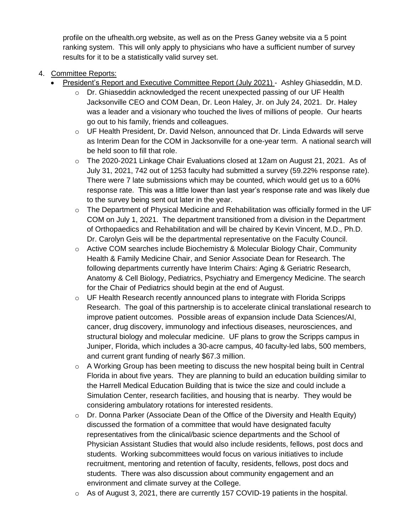profile on the ufhealth.org website, as well as on the Press Ganey website via a 5 point ranking system. This will only apply to physicians who have a sufficient number of survey results for it to be a statistically valid survey set.

- 4. Committee Reports:
	- President's Report and Executive Committee Report (July 2021) Ashley Ghiaseddin, M.D.
		- o Dr. Ghiaseddin acknowledged the recent unexpected passing of our UF Health Jacksonville CEO and COM Dean, Dr. Leon Haley, Jr. on July 24, 2021. Dr. Haley was a leader and a visionary who touched the lives of millions of people. Our hearts go out to his family, friends and colleagues.
		- o UF Health President, Dr. David Nelson, announced that Dr. Linda Edwards will serve as Interim Dean for the COM in Jacksonville for a one-year term. A national search will be held soon to fill that role.
		- $\circ$  The 2020-2021 Linkage Chair Evaluations closed at 12am on August 21, 2021. As of July 31, 2021, 742 out of 1253 faculty had submitted a survey (59.22% response rate). There were 7 late submissions which may be counted, which would get us to a 60% response rate. This was a little lower than last year's response rate and was likely due to the survey being sent out later in the year.
		- $\circ$  The Department of Physical Medicine and Rehabilitation was officially formed in the UF COM on July 1, 2021. The department transitioned from a division in the Department of Orthopaedics and Rehabilitation and will be chaired by Kevin Vincent, M.D., Ph.D. Dr. Carolyn Geis will be the departmental representative on the Faculty Council.
		- $\circ$  Active COM searches include Biochemistry & Molecular Biology Chair, Community Health & Family Medicine Chair, and Senior Associate Dean for Research. The following departments currently have Interim Chairs: Aging & Geriatric Research, Anatomy & Cell Biology, Pediatrics, Psychiatry and Emergency Medicine. The search for the Chair of Pediatrics should begin at the end of August.
		- o UF Health Research recently announced plans to integrate with Florida Scripps Research. The goal of this partnership is to accelerate clinical translational research to improve patient outcomes. Possible areas of expansion include Data Sciences/AI, cancer, drug discovery, immunology and infectious diseases, neurosciences, and structural biology and molecular medicine. UF plans to grow the Scripps campus in Juniper, Florida, which includes a 30-acre campus, 40 faculty-led labs, 500 members, and current grant funding of nearly \$67.3 million.
		- $\circ$  A Working Group has been meeting to discuss the new hospital being built in Central Florida in about five years. They are planning to build an education building similar to the Harrell Medical Education Building that is twice the size and could include a Simulation Center, research facilities, and housing that is nearby. They would be considering ambulatory rotations for interested residents.
		- $\circ$  Dr. Donna Parker (Associate Dean of the Office of the Diversity and Health Equity) discussed the formation of a committee that would have designated faculty representatives from the clinical/basic science departments and the School of Physician Assistant Studies that would also include residents, fellows, post docs and students. Working subcommittees would focus on various initiatives to include recruitment, mentoring and retention of faculty, residents, fellows, post docs and students. There was also discussion about community engagement and an environment and climate survey at the College.
		- $\circ$  As of August 3, 2021, there are currently 157 COVID-19 patients in the hospital.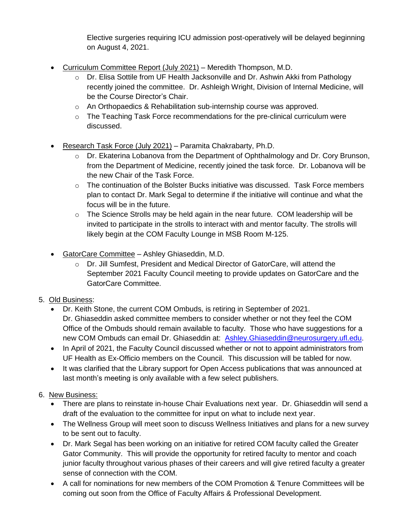Elective surgeries requiring ICU admission post-operatively will be delayed beginning on August 4, 2021.

- Curriculum Committee Report (July 2021) Meredith Thompson, M.D.
	- o Dr. Elisa Sottile from UF Health Jacksonville and Dr. Ashwin Akki from Pathology recently joined the committee. Dr. Ashleigh Wright, Division of Internal Medicine, will be the Course Director's Chair.
	- o An Orthopaedics & Rehabilitation sub-internship course was approved.
	- $\circ$  The Teaching Task Force recommendations for the pre-clinical curriculum were discussed.
- Research Task Force (July 2021) Paramita Chakrabarty, Ph.D.
	- $\circ$  Dr. Ekaterina Lobanova from the Department of Ophthalmology and Dr. Cory Brunson, from the Department of Medicine, recently joined the task force. Dr. Lobanova will be the new Chair of the Task Force.
	- $\circ$  The continuation of the Bolster Bucks initiative was discussed. Task Force members plan to contact Dr. Mark Segal to determine if the initiative will continue and what the focus will be in the future.
	- $\circ$  The Science Strolls may be held again in the near future. COM leadership will be invited to participate in the strolls to interact with and mentor faculty. The strolls will likely begin at the COM Faculty Lounge in MSB Room M-125.
- GatorCare Committee Ashley Ghiaseddin, M.D.
	- $\circ$  Dr. Jill Sumfest, President and Medical Director of GatorCare, will attend the September 2021 Faculty Council meeting to provide updates on GatorCare and the GatorCare Committee.

# 5. Old Business:

- Dr. Keith Stone, the current COM Ombuds, is retiring in September of 2021. Dr. Ghiaseddin asked committee members to consider whether or not they feel the COM Office of the Ombuds should remain available to faculty. Those who have suggestions for a new COM Ombuds can email Dr. Ghiaseddin at: [Ashley.Ghiaseddin@neurosurgery.ufl.edu.](mailto:Ashley.Ghiaseddin@neurosurgery.ufl.edu)
- In April of 2021, the Faculty Council discussed whether or not to appoint administrators from UF Health as Ex-Officio members on the Council. This discussion will be tabled for now.
- It was clarified that the Library support for Open Access publications that was announced at last month's meeting is only available with a few select publishers.

# 6. New Business:

- There are plans to reinstate in-house Chair Evaluations next year. Dr. Ghiaseddin will send a draft of the evaluation to the committee for input on what to include next year.
- The Wellness Group will meet soon to discuss Wellness Initiatives and plans for a new survey to be sent out to faculty.
- Dr. Mark Segal has been working on an initiative for retired COM faculty called the Greater Gator Community. This will provide the opportunity for retired faculty to mentor and coach junior faculty throughout various phases of their careers and will give retired faculty a greater sense of connection with the COM.
- A call for nominations for new members of the COM Promotion & Tenure Committees will be coming out soon from the Office of Faculty Affairs & Professional Development.